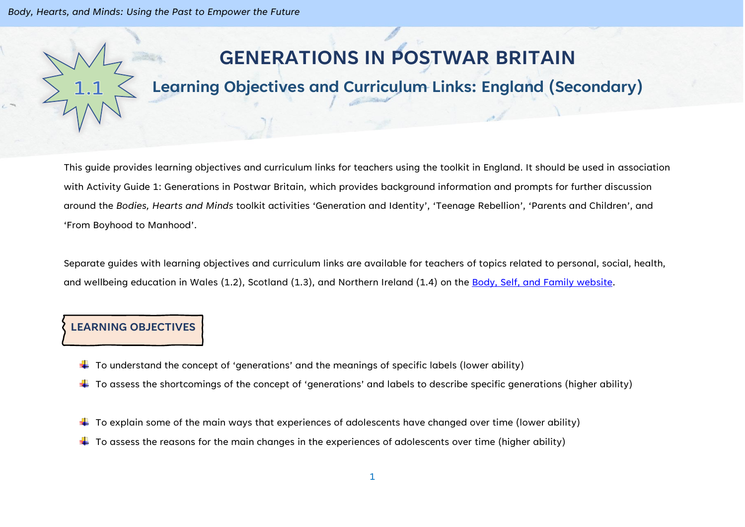*Body, Hearts, and Minds: Using the Past to Empower the Future*

# **GENERATIONS IN POSTWAR BRITAIN**

## **Learning Objectives and Curriculum Links: England (Secondary)**

This guide provides learning objectives and curriculum links for teachers using the toolkit in England. It should be used in association with Activity Guide 1: Generations in Postwar Britain, which provides background information and prompts for further discussion around the *Bodies, Hearts and Minds* toolkit activities 'Generation and Identity', 'Teenage Rebellion', 'Parents and Children', and 'From Boyhood to Manhood'.

Separate guides with learning objectives and curriculum links are available for teachers of topics related to personal, social, health, and wellbeing education in Wales (1.2), Scotland (1.3), and Northern Ireland (1.4) on the [Body, Self, and Family website.](https://bodyselffamily.org/)

#### **LEARNING OBJECTIVES**

- $\downarrow$  To understand the concept of 'generations' and the meanings of specific labels (lower ability)
- $\ddotplus$  To assess the shortcomings of the concept of 'generations' and labels to describe specific generations (higher ability)
- $\downarrow$  To explain some of the main ways that experiences of adolescents have changed over time (lower ability)
- $\ddot{\bullet}$  To assess the reasons for the main changes in the experiences of adolescents over time (higher ability)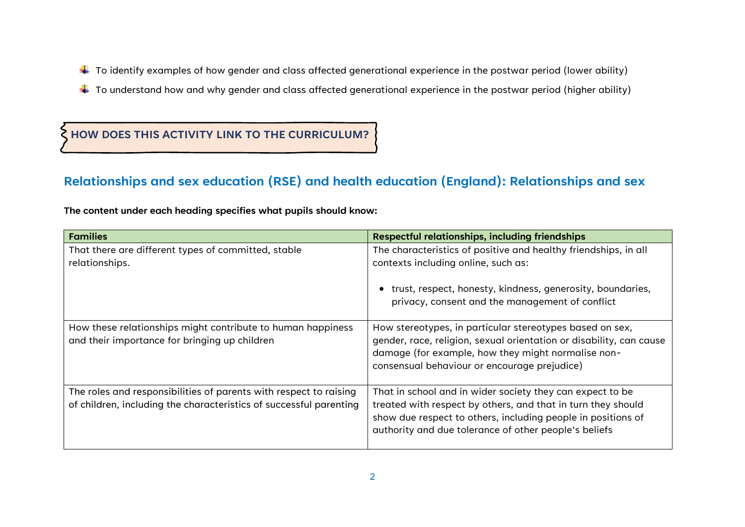- $\ddotplus$  To identify examples of how gender and class affected generational experience in the postwar period (lower ability)
- $\ddotplus$  To understand how and why gender and class affected generational experience in the postwar period (higher ability)

### **HOW DOES THIS ACTIVITY LINK TO THE CURRICULUM?**

#### **Relationships and sex education (RSE) and health education (England): Relationships and sex**

**The content under each heading specifies what pupils should know:**

| <b>Families</b>                                                                                                                         | <b>Respectful relationships, including friendships</b>                                                                                                                                                                                             |
|-----------------------------------------------------------------------------------------------------------------------------------------|----------------------------------------------------------------------------------------------------------------------------------------------------------------------------------------------------------------------------------------------------|
| That there are different types of committed, stable                                                                                     | The characteristics of positive and healthy friendships, in all                                                                                                                                                                                    |
| relationships.                                                                                                                          | contexts including online, such as:                                                                                                                                                                                                                |
|                                                                                                                                         | • trust, respect, honesty, kindness, generosity, boundaries,<br>privacy, consent and the management of conflict                                                                                                                                    |
| How these relationships might contribute to human happiness<br>and their importance for bringing up children                            | How stereotypes, in particular stereotypes based on sex,<br>gender, race, religion, sexual orientation or disability, can cause<br>damage (for example, how they might normalise non-<br>consensual behaviour or encourage prejudice)              |
| The roles and responsibilities of parents with respect to raising<br>of children, including the characteristics of successful parenting | That in school and in wider society they can expect to be<br>treated with respect by others, and that in turn they should<br>show due respect to others, including people in positions of<br>authority and due tolerance of other people's beliefs |